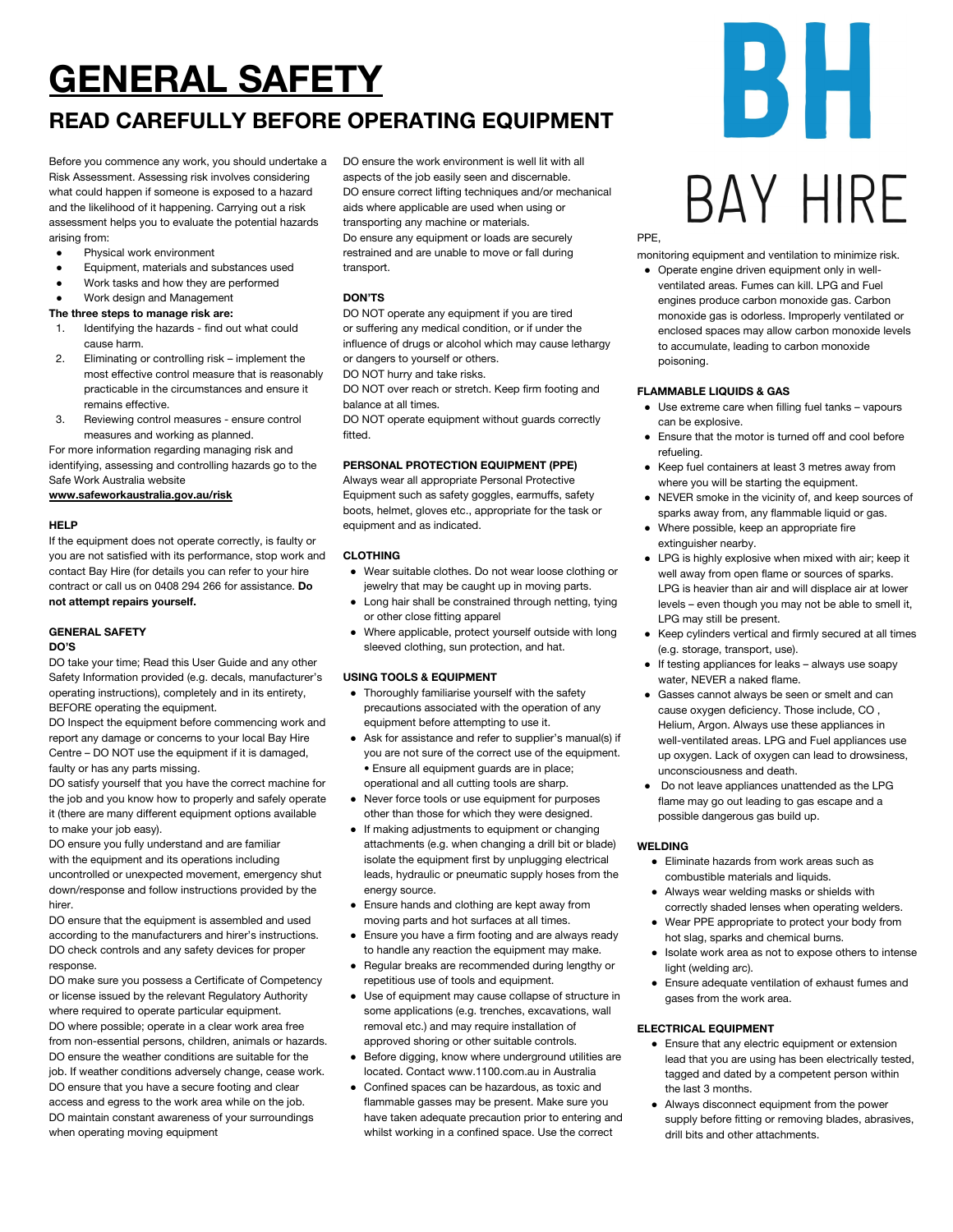## **GENERAL SAFETY**

### **READ CAREFULLY BEFORE OPERATING EQUIPMENT**

Before you commence any work, you should undertake a Risk Assessment. Assessing risk involves considering what could happen if someone is exposed to a hazard and the likelihood of it happening. Carrying out a risk assessment helps you to evaluate the potential hazards arising from:

- Physical work environment
- Equipment, materials and substances used
- Work tasks and how they are performed
- Work design and Management

#### **The three steps to manage risk are:**

- 1. Identifying the hazards find out what could cause harm.
- 2. Eliminating or controlling risk implement the most effective control measure that is reasonably practicable in the circumstances and ensure it remains effective.
- 3. Reviewing control measures ensure control measures and working as planned.

For more information regarding managing risk and identifying, assessing and controlling hazards go to the Safe Work Australia website

**[www.safeworkaustralia.gov.au/risk](http://www.safeworkaustralia.gov.au/risk)**

#### **HELP**

If the equipment does not operate correctly, is faulty or you are not satisfied with its performance, stop work and contact Bay Hire (for details you can refer to your hire contract or call us on 0408 294 266 for assistance. **Do not attempt repairs yourself.**

#### **GENERAL SAFETY**

#### **DO'S**

DO take your time; Read this User Guide and any other Safety Information provided (e.g. decals, manufacturer's operating instructions), completely and in its entirety, BEFORE operating the equipment.

DO Inspect the equipment before commencing work and report any damage or concerns to your local Bay Hire Centre – DO NOT use the equipment if it is damaged, faulty or has any parts missing.

DO satisfy yourself that you have the correct machine for the job and you know how to properly and safely operate it (there are many different equipment options available to make your job easy).

DO ensure you fully understand and are familiar with the equipment and its operations including uncontrolled or unexpected movement, emergency shut down/response and follow instructions provided by the hirer.

DO ensure that the equipment is assembled and used according to the manufacturers and hirer's instructions. DO check controls and any safety devices for proper response.

DO make sure you possess a Certificate of Competency or license issued by the relevant Regulatory Authority where required to operate particular equipment. DO where possible; operate in a clear work area free from non-essential persons, children, animals or hazards. DO ensure the weather conditions are suitable for the job. If weather conditions adversely change, cease work. DO ensure that you have a secure footing and clear access and egress to the work area while on the job. DO maintain constant awareness of your surroundings when operating moving equipment

DO ensure the work environment is well lit with all aspects of the job easily seen and discernable. DO ensure correct lifting techniques and/or mechanical aids where applicable are used when using or transporting any machine or materials. Do ensure any equipment or loads are securely restrained and are unable to move or fall during transport.

#### **DON'TS**

DO NOT operate any equipment if you are tired or suffering any medical condition, or if under the influence of drugs or alcohol which may cause lethargy or dangers to yourself or others.

DO NOT hurry and take risks.

DO NOT over reach or stretch. Keep firm footing and balance at all times.

DO NOT operate equipment without guards correctly fitted.

#### **PERSONAL PROTECTION EQUIPMENT (PPE)**

Always wear all appropriate Personal Protective Equipment such as safety goggles, earmuffs, safety boots, helmet, gloves etc., appropriate for the task or equipment and as indicated.

#### **CLOTHING**

- Wear suitable clothes. Do not wear loose clothing or jewelry that may be caught up in moving parts.
- Long hair shall be constrained through netting, tying or other close fitting apparel
- Where applicable, protect yourself outside with long sleeved clothing, sun protection, and hat.

#### **USING TOOLS & EQUIPMENT**

- Thoroughly familiarise yourself with the safety precautions associated with the operation of any equipment before attempting to use it.
- Ask for assistance and refer to supplier's manual(s) if you are not sure of the correct use of the equipment. • Ensure all equipment guards are in place; operational and all cutting tools are sharp.
- Never force tools or use equipment for purposes other than those for which they were designed.
- If making adjustments to equipment or changing attachments (e.g. when changing a drill bit or blade) isolate the equipment first by unplugging electrical leads, hydraulic or pneumatic supply hoses from the energy source.
- Ensure hands and clothing are kept away from moving parts and hot surfaces at all times.
- Ensure you have a firm footing and are always ready to handle any reaction the equipment may make.
- Regular breaks are recommended during lengthy or repetitious use of tools and equipment.
- Use of equipment may cause collapse of structure in some applications (e.g. trenches, excavations, wall removal etc.) and may require installation of approved shoring or other suitable controls.
- Before digging, know where underground utilities are located. Contact www.1100.com.au in Australia
- Confined spaces can be hazardous, as toxic and flammable gasses may be present. Make sure you have taken adequate precaution prior to entering and whilst working in a confined space. Use the correct

# 51 F BAY HIRF

PPE,

monitoring equipment and ventilation to minimize risk.

● Operate engine driven equipment only in wellventilated areas. Fumes can kill. LPG and Fuel engines produce carbon monoxide gas. Carbon monoxide gas is odorless. Improperly ventilated or enclosed spaces may allow carbon monoxide levels to accumulate, leading to carbon monoxide poisoning.

#### **FLAMMABLE LIQUIDS & GAS**

- Use extreme care when filling fuel tanks vapours can be explosive.
- Ensure that the motor is turned off and cool before refueling.
- Keep fuel containers at least 3 metres away from where you will be starting the equipment.
- NEVER smoke in the vicinity of, and keep sources of sparks away from, any flammable liquid or gas.
- Where possible, keep an appropriate fire extinguisher nearby.
- LPG is highly explosive when mixed with air; keep it well away from open flame or sources of sparks. LPG is heavier than air and will displace air at lower levels – even though you may not be able to smell it, LPG may still be present.
- Keep cylinders vertical and firmly secured at all times (e.g. storage, transport, use).
- If testing appliances for leaks always use soapy water, NEVER a naked flame.
- Gasses cannot always be seen or smelt and can cause oxygen deficiency. Those include, CO , Helium, Argon. Always use these appliances in well-ventilated areas. LPG and Fuel appliances use up oxygen. Lack of oxygen can lead to drowsiness, unconsciousness and death.
- Do not leave appliances unattended as the LPG flame may go out leading to gas escape and a possible dangerous gas build up.

#### **WELDING**

- Eliminate hazards from work areas such as combustible materials and liquids.
- Always wear welding masks or shields with correctly shaded lenses when operating welders.
- Wear PPE appropriate to protect your body from hot slag, sparks and chemical burns.
- Isolate work area as not to expose others to intense light (welding arc).
- Ensure adequate ventilation of exhaust fumes and gases from the work area.

#### **ELECTRICAL EQUIPMENT**

- Ensure that any electric equipment or extension lead that you are using has been electrically tested, tagged and dated by a competent person within the last 3 months.
- Always disconnect equipment from the power supply before fitting or removing blades, abrasives, drill bits and other attachments.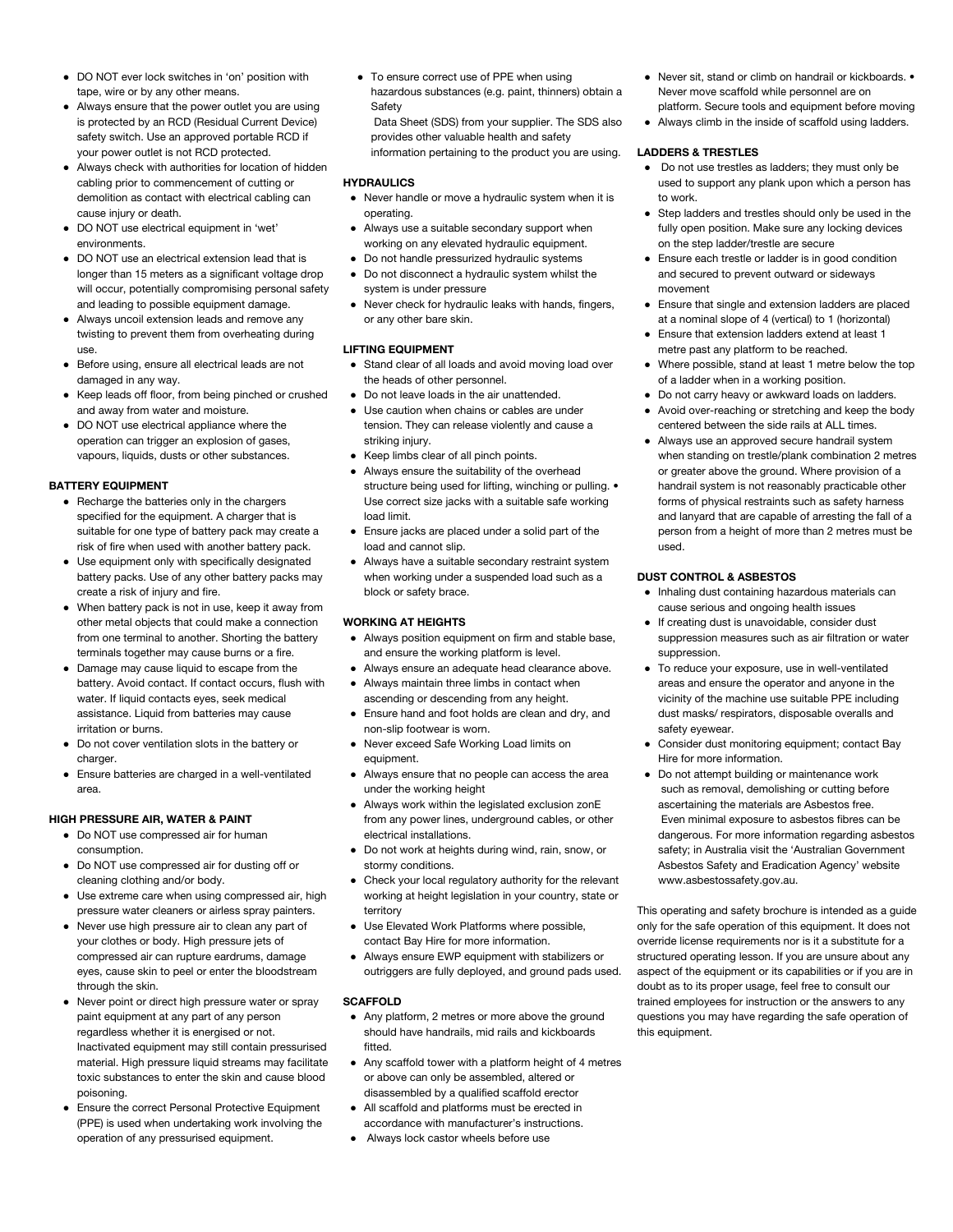- DO NOT ever lock switches in 'on' position with tape, wire or by any other means.
- Always ensure that the power outlet you are using is protected by an RCD (Residual Current Device) safety switch. Use an approved portable RCD if your power outlet is not RCD protected.
- Always check with authorities for location of hidden cabling prior to commencement of cutting or demolition as contact with electrical cabling can cause injury or death.
- DO NOT use electrical equipment in 'wet' environments.
- DO NOT use an electrical extension lead that is longer than 15 meters as a significant voltage drop will occur, potentially compromising personal safety and leading to possible equipment damage.
- Always uncoil extension leads and remove any twisting to prevent them from overheating during use.
- Before using, ensure all electrical leads are not damaged in any way.
- Keep leads off floor, from being pinched or crushed and away from water and moisture.
- DO NOT use electrical appliance where the operation can trigger an explosion of gases, vapours, liquids, dusts or other substances.

#### **BATTERY EQUIPMENT**

- Recharge the batteries only in the chargers specified for the equipment. A charger that is suitable for one type of battery pack may create a risk of fire when used with another battery pack.
- Use equipment only with specifically designated battery packs. Use of any other battery packs may create a risk of injury and fire.
- When battery pack is not in use, keep it away from other metal objects that could make a connection from one terminal to another. Shorting the battery terminals together may cause burns or a fire.
- Damage may cause liquid to escape from the battery. Avoid contact. If contact occurs, flush with water. If liquid contacts eyes, seek medical assistance. Liquid from batteries may cause irritation or burns.
- Do not cover ventilation slots in the battery or charger.
- Ensure batteries are charged in a well-ventilated area.

#### **HIGH PRESSURE AIR, WATER & PAINT**

- Do NOT use compressed air for human consumption.
- Do NOT use compressed air for dusting off or cleaning clothing and/or body.
- Use extreme care when using compressed air, high pressure water cleaners or airless spray painters.
- Never use high pressure air to clean any part of your clothes or body. High pressure jets of compressed air can rupture eardrums, damage eyes, cause skin to peel or enter the bloodstream through the skin.
- Never point or direct high pressure water or spray paint equipment at any part of any person regardless whether it is energised or not. Inactivated equipment may still contain pressurised material. High pressure liquid streams may facilitate toxic substances to enter the skin and cause blood poisoning.
- Ensure the correct Personal Protective Equipment (PPE) is used when undertaking work involving the operation of any pressurised equipment.

● To ensure correct use of PPE when using hazardous substances (e.g. paint, thinners) obtain a **Safety** 

Data Sheet (SDS) from your supplier. The SDS also provides other valuable health and safety information pertaining to the product you are using.

#### **HYDRAULICS**

- Never handle or move a hydraulic system when it is operating.
- Always use a suitable secondary support when working on any elevated hydraulic equipment.
- Do not handle pressurized hydraulic systems
- Do not disconnect a hydraulic system whilst the system is under pressure
- Never check for hydraulic leaks with hands, fingers, or any other bare skin.

#### **LIFTING EQUIPMENT**

- Stand clear of all loads and avoid moving load over the heads of other personnel.
- Do not leave loads in the air unattended.
- Use caution when chains or cables are under tension. They can release violently and cause a striking injury.
- Keep limbs clear of all pinch points.
- Always ensure the suitability of the overhead structure being used for lifting, winching or pulling.  $\bullet$ Use correct size jacks with a suitable safe working load limit.
- Ensure jacks are placed under a solid part of the load and cannot slip.
- Always have a suitable secondary restraint system when working under a suspended load such as a block or safety brace.

#### **WORKING AT HEIGHTS**

- Always position equipment on firm and stable base, and ensure the working platform is level.
- Always ensure an adequate head clearance above. ● Always maintain three limbs in contact when
- ascending or descending from any height.
- Ensure hand and foot holds are clean and dry, and non-slip footwear is worn. ● Never exceed Safe Working Load limits on
- equipment.
- Always ensure that no people can access the area under the working height
- Always work within the legislated exclusion zonE from any power lines, underground cables, or other electrical installations.
- Do not work at heights during wind, rain, snow, or stormy conditions.
- Check your local regulatory authority for the relevant working at height legislation in your country, state or territory
- Use Elevated Work Platforms where possible, contact Bay Hire for more information.
- Always ensure EWP equipment with stabilizers or outriggers are fully deployed, and ground pads used.

#### **SCAFFOLD**

- Any platform, 2 metres or more above the ground should have handrails, mid rails and kickboards fitted.
- Any scaffold tower with a platform height of 4 metres or above can only be assembled, altered or disassembled by a qualified scaffold erector
- All scaffold and platforms must be erected in accordance with manufacturer's instructions.
- Always lock castor wheels before use
- Never sit, stand or climb on handrail or kickboards. Never move scaffold while personnel are on platform. Secure tools and equipment before moving
- Always climb in the inside of scaffold using ladders.

#### **LADDERS & TRESTLES**

- Do not use trestles as ladders; they must only be used to support any plank upon which a person has to work.
- Step ladders and trestles should only be used in the fully open position. Make sure any locking devices on the step ladder/trestle are secure
- Ensure each trestle or ladder is in good condition and secured to prevent outward or sideways movement
- Ensure that single and extension ladders are placed at a nominal slope of 4 (vertical) to 1 (horizontal)
- Ensure that extension ladders extend at least 1 metre past any platform to be reached.
- Where possible, stand at least 1 metre below the top of a ladder when in a working position.
- Do not carry heavy or awkward loads on ladders.
- Avoid over-reaching or stretching and keep the body centered between the side rails at ALL times.
- Always use an approved secure handrail system when standing on trestle/plank combination 2 metres or greater above the ground. Where provision of a handrail system is not reasonably practicable other forms of physical restraints such as safety harness and lanyard that are capable of arresting the fall of a person from a height of more than 2 metres must be used.

#### **DUST CONTROL & ASBESTOS**

- Inhaling dust containing hazardous materials can cause serious and ongoing health issues
- If creating dust is unavoidable, consider dust suppression measures such as air filtration or water suppression.
- To reduce your exposure, use in well-ventilated areas and ensure the operator and anyone in the vicinity of the machine use suitable PPE including dust masks/ respirators, disposable overalls and safety eyewear.
- Consider dust monitoring equipment; contact Bay Hire for more information.
- Do not attempt building or maintenance work such as removal, demolishing or cutting before ascertaining the materials are Asbestos free. Even minimal exposure to asbestos fibres can be dangerous. For more information regarding asbestos safety; in Australia visit the 'Australian Government Asbestos Safety and Eradication Agency' website www.asbestossafety.gov.au.

This operating and safety brochure is intended as a guide only for the safe operation of this equipment. It does not override license requirements nor is it a substitute for a structured operating lesson. If you are unsure about any aspect of the equipment or its capabilities or if you are in doubt as to its proper usage, feel free to consult our trained employees for instruction or the answers to any questions you may have regarding the safe operation of this equipment.